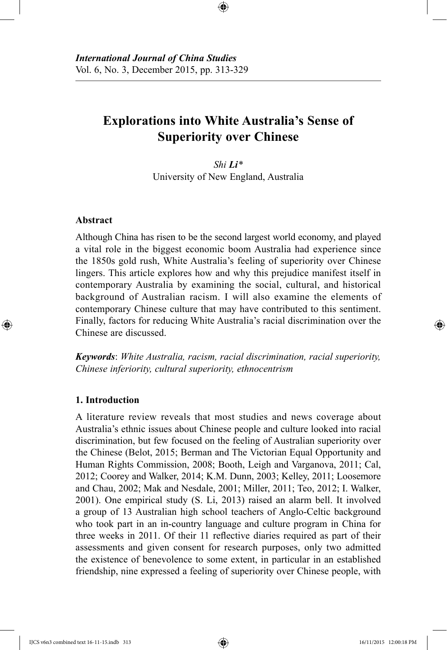# **Explorations into White Australia's Sense of Superiority over Chinese**

⊕

*Shi Li\** University of New England, Australia

# **Abstract**

⊕

Although China has risen to be the second largest world economy, and played a vital role in the biggest economic boom Australia had experience since the 1850s gold rush, White Australia's feeling of superiority over Chinese lingers. This article explores how and why this prejudice manifest itself in contemporary Australia by examining the social, cultural, and historical background of Australian racism. I will also examine the elements of contemporary Chinese culture that may have contributed to this sentiment. Finally, factors for reducing White Australia's racial discrimination over the Chinese are discussed.

*Keywords*: *White Australia, racism, racial discrimination, racial superiority, Chinese inferiority, cultural superiority, ethnocentrism* 

#### **1. Introduction**

A literature review reveals that most studies and news coverage about Australia's ethnic issues about Chinese people and culture looked into racial discrimination, but few focused on the feeling of Australian superiority over the Chinese (Belot, 2015; Berman and The Victorian Equal Opportunity and Human Rights Commission, 2008; Booth, Leigh and Varganova, 2011; Cal, 2012; Coorey and Walker, 2014; K.M. Dunn, 2003; Kelley, 2011; Loosemore and Chau, 2002; Mak and Nesdale, 2001; Miller, 2011; Teo, 2012; I. Walker, 2001). One empirical study (S. Li, 2013) raised an alarm bell. It involved a group of 13 Australian high school teachers of Anglo-Celtic background who took part in an in-country language and culture program in China for three weeks in 2011. Of their 11 reflective diaries required as part of their assessments and given consent for research purposes, only two admitted the existence of benevolence to some extent, in particular in an established friendship, nine expressed a feeling of superiority over Chinese people, with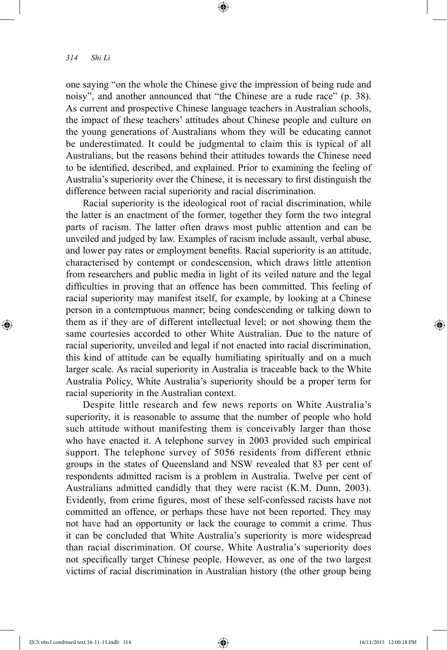⊕

one saying "on the whole the Chinese give the impression of being rude and noisy", and another announced that "the Chinese are a rude race" (p. 38). As current and prospective Chinese language teachers in Australian schools, the impact of these teachers' attitudes about Chinese people and culture on the young generations of Australians whom they will be educating cannot be underestimated. It could be judgmental to claim this is typical of all Australians, but the reasons behind their attitudes towards the Chinese need to be identified, described, and explained. Prior to examining the feeling of Australia's superiority over the Chinese, it is necessary to first distinguish the difference between racial superiority and racial discrimination.

⊕

Racial superiority is the ideological root of racial discrimination, while the latter is an enactment of the former, together they form the two integral parts of racism. The latter often draws most public attention and can be unveiled and judged by law. Examples of racism include assault, verbal abuse, and lower pay rates or employment benefits. Racial superiority is an attitude, characterised by contempt or condescension, which draws little attention from researchers and public media in light of its veiled nature and the legal difficulties in proving that an offence has been committed. This feeling of racial superiority may manifest itself, for example, by looking at a Chinese person in a contemptuous manner; being condescending or talking down to them as if they are of different intellectual level; or not showing them the same courtesies accorded to other White Australian. Due to the nature of racial superiority, unveiled and legal if not enacted into racial discrimination, this kind of attitude can be equally humiliating spiritually and on a much larger scale. As racial superiority in Australia is traceable back to the White Australia Policy, White Australia's superiority should be a proper term for racial superiority in the Australian context.

Despite little research and few news reports on White Australia's superiority, it is reasonable to assume that the number of people who hold such attitude without manifesting them is conceivably larger than those who have enacted it. A telephone survey in 2003 provided such empirical support. The telephone survey of 5056 residents from different ethnic groups in the states of Queensland and NSW revealed that 83 per cent of respondents admitted racism is a problem in Australia. Twelve per cent of Australians admitted candidly that they were racist (K.M. Dunn, 2003). Evidently, from crime figures, most of these self-confessed racists have not committed an offence, or perhaps these have not been reported. They may not have had an opportunity or lack the courage to commit a crime. Thus it can be concluded that White Australia's superiority is more widespread than racial discrimination. Of course, White Australia's superiority does not specifically target Chinese people. However, as one of the two largest victims of racial discrimination in Australian history (the other group being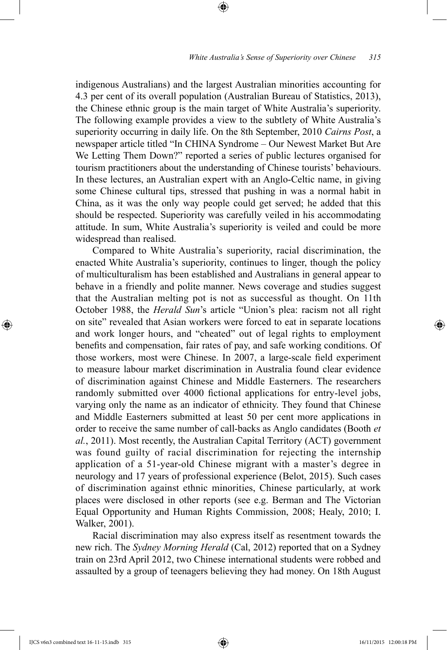indigenous Australians) and the largest Australian minorities accounting for 4.3 per cent of its overall population (Australian Bureau of Statistics, 2013), the Chinese ethnic group is the main target of White Australia's superiority. The following example provides a view to the subtlety of White Australia's superiority occurring in daily life. On the 8th September, 2010 *Cairns Post*, a newspaper article titled "In CHINA Syndrome – Our Newest Market But Are We Letting Them Down?" reported a series of public lectures organised for tourism practitioners about the understanding of Chinese tourists' behaviours. In these lectures, an Australian expert with an Anglo-Celtic name, in giving some Chinese cultural tips, stressed that pushing in was a normal habit in China, as it was the only way people could get served; he added that this should be respected. Superiority was carefully veiled in his accommodating attitude. In sum, White Australia's superiority is veiled and could be more widespread than realised.

⊕

Compared to White Australia's superiority, racial discrimination, the enacted White Australia's superiority, continues to linger, though the policy of multiculturalism has been established and Australians in general appear to behave in a friendly and polite manner. News coverage and studies suggest that the Australian melting pot is not as successful as thought. On 11th October 1988, the *Herald Sun*'s article "Union's plea: racism not all right on site" revealed that Asian workers were forced to eat in separate locations and work longer hours, and "cheated" out of legal rights to employment benefits and compensation, fair rates of pay, and safe working conditions. Of those workers, most were Chinese. In 2007, a large-scale field experiment to measure labour market discrimination in Australia found clear evidence of discrimination against Chinese and Middle Easterners. The researchers randomly submitted over 4000 fictional applications for entry-level jobs, varying only the name as an indicator of ethnicity. They found that Chinese and Middle Easterners submitted at least 50 per cent more applications in order to receive the same number of call-backs as Anglo candidates (Booth *et al.*, 2011). Most recently, the Australian Capital Territory (ACT) government was found guilty of racial discrimination for rejecting the internship application of a 51-year-old Chinese migrant with a master's degree in neurology and 17 years of professional experience (Belot, 2015). Such cases of discrimination against ethnic minorities, Chinese particularly, at work places were disclosed in other reports (see e.g. Berman and The Victorian Equal Opportunity and Human Rights Commission, 2008; Healy, 2010; I. Walker, 2001).

Racial discrimination may also express itself as resentment towards the new rich. The *Sydney Morning Herald* (Cal, 2012) reported that on a Sydney train on 23rd April 2012, two Chinese international students were robbed and assaulted by a group of teenagers believing they had money. On 18th August

⊕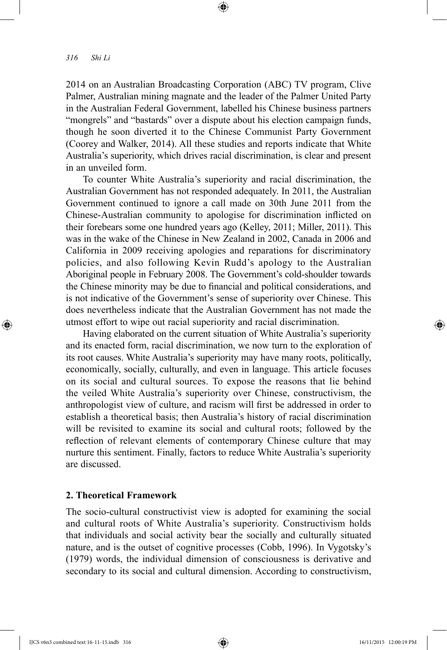⊕

2014 on an Australian Broadcasting Corporation (ABC) TV program, Clive Palmer, Australian mining magnate and the leader of the Palmer United Party in the Australian Federal Government, labelled his Chinese business partners "mongrels" and "bastards" over a dispute about his election campaign funds, though he soon diverted it to the Chinese Communist Party Government (Coorey and Walker, 2014). All these studies and reports indicate that White Australia's superiority, which drives racial discrimination, is clear and present in an unveiled form.

⊕

To counter White Australia's superiority and racial discrimination, the Australian Government has not responded adequately. In 2011, the Australian Government continued to ignore a call made on 30th June 2011 from the Chinese-Australian community to apologise for discrimination inflicted on their forebears some one hundred years ago (Kelley, 2011; Miller, 2011). This was in the wake of the Chinese in New Zealand in 2002, Canada in 2006 and California in 2009 receiving apologies and reparations for discriminatory policies, and also following Kevin Rudd's apology to the Australian Aboriginal people in February 2008. The Government's cold-shoulder towards the Chinese minority may be due to financial and political considerations, and is not indicative of the Government's sense of superiority over Chinese. This does nevertheless indicate that the Australian Government has not made the utmost effort to wipe out racial superiority and racial discrimination.

Having elaborated on the current situation of White Australia's superiority and its enacted form, racial discrimination, we now turn to the exploration of its root causes. White Australia's superiority may have many roots, politically, economically, socially, culturally, and even in language. This article focuses on its social and cultural sources. To expose the reasons that lie behind the veiled White Australia's superiority over Chinese, constructivism, the anthropologist view of culture, and racism will first be addressed in order to establish a theoretical basis; then Australia's history of racial discrimination will be revisited to examine its social and cultural roots; followed by the reflection of relevant elements of contemporary Chinese culture that may nurture this sentiment. Finally, factors to reduce White Australia's superiority are discussed.

## **2. Theoretical Framework**

The socio-cultural constructivist view is adopted for examining the social and cultural roots of White Australia's superiority. Constructivism holds that individuals and social activity bear the socially and culturally situated nature, and is the outset of cognitive processes (Cobb, 1996). In Vygotsky's (1979) words, the individual dimension of consciousness is derivative and secondary to its social and cultural dimension. According to constructivism,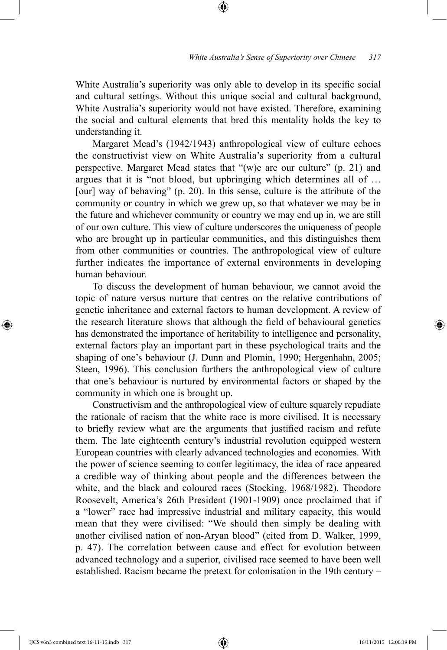White Australia's superiority was only able to develop in its specific social and cultural settings. Without this unique social and cultural background, White Australia's superiority would not have existed. Therefore, examining the social and cultural elements that bred this mentality holds the key to understanding it.

⊕

Margaret Mead's (1942/1943) anthropological view of culture echoes the constructivist view on White Australia's superiority from a cultural perspective. Margaret Mead states that "(w)e are our culture" (p. 21) and argues that it is "not blood, but upbringing which determines all of … [our] way of behaving" (p. 20). In this sense, culture is the attribute of the community or country in which we grew up, so that whatever we may be in the future and whichever community or country we may end up in, we are still of our own culture. This view of culture underscores the uniqueness of people who are brought up in particular communities, and this distinguishes them from other communities or countries. The anthropological view of culture further indicates the importance of external environments in developing human behaviour.

To discuss the development of human behaviour, we cannot avoid the topic of nature versus nurture that centres on the relative contributions of genetic inheritance and external factors to human development. A review of the research literature shows that although the field of behavioural genetics has demonstrated the importance of heritability to intelligence and personality, external factors play an important part in these psychological traits and the shaping of one's behaviour (J. Dunn and Plomin, 1990; Hergenhahn, 2005; Steen, 1996). This conclusion furthers the anthropological view of culture that one's behaviour is nurtured by environmental factors or shaped by the community in which one is brought up.

Constructivism and the anthropological view of culture squarely repudiate the rationale of racism that the white race is more civilised. It is necessary to briefly review what are the arguments that justified racism and refute them. The late eighteenth century's industrial revolution equipped western European countries with clearly advanced technologies and economies. With the power of science seeming to confer legitimacy, the idea of race appeared a credible way of thinking about people and the differences between the white, and the black and coloured races (Stocking, 1968/1982). Theodore Roosevelt, America's 26th President (1901-1909) once proclaimed that if a "lower" race had impressive industrial and military capacity, this would mean that they were civilised: "We should then simply be dealing with another civilised nation of non-Aryan blood" (cited from D. Walker, 1999, p. 47). The correlation between cause and effect for evolution between advanced technology and a superior, civilised race seemed to have been well established. Racism became the pretext for colonisation in the 19th century –

IJCS v6n3 combined text 16-11-15.indb 317 16/11/2015 12:00:19 PM

⊕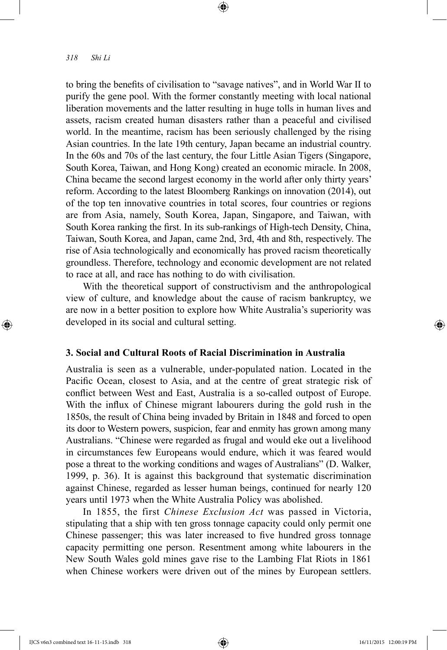⊕

to bring the benefits of civilisation to "savage natives", and in World War II to purify the gene pool. With the former constantly meeting with local national liberation movements and the latter resulting in huge tolls in human lives and assets, racism created human disasters rather than a peaceful and civilised world. In the meantime, racism has been seriously challenged by the rising Asian countries. In the late 19th century, Japan became an industrial country. In the 60s and 70s of the last century, the four Little Asian Tigers (Singapore, South Korea, Taiwan, and Hong Kong) created an economic miracle. In 2008, China became the second largest economy in the world after only thirty years' reform. According to the latest Bloomberg Rankings on innovation (2014), out of the top ten innovative countries in total scores, four countries or regions are from Asia, namely, South Korea, Japan, Singapore, and Taiwan, with South Korea ranking the first. In its sub-rankings of High-tech Density, China, Taiwan, South Korea, and Japan, came 2nd, 3rd, 4th and 8th, respectively. The rise of Asia technologically and economically has proved racism theoretically groundless. Therefore, technology and economic development are not related to race at all, and race has nothing to do with civilisation.

⊕

With the theoretical support of constructivism and the anthropological view of culture, and knowledge about the cause of racism bankruptcy, we are now in a better position to explore how White Australia's superiority was developed in its social and cultural setting.

# **3. Social and Cultural Roots of Racial Discrimination in Australia**

Australia is seen as a vulnerable, under-populated nation. Located in the Pacific Ocean, closest to Asia, and at the centre of great strategic risk of conflict between West and East, Australia is a so-called outpost of Europe. With the influx of Chinese migrant labourers during the gold rush in the 1850s, the result of China being invaded by Britain in 1848 and forced to open its door to Western powers, suspicion, fear and enmity has grown among many Australians. "Chinese were regarded as frugal and would eke out a livelihood in circumstances few Europeans would endure, which it was feared would pose a threat to the working conditions and wages of Australians" (D. Walker, 1999, p. 36). It is against this background that systematic discrimination against Chinese, regarded as lesser human beings, continued for nearly 120 years until 1973 when the White Australia Policy was abolished.

In 1855, the first *Chinese Exclusion Act* was passed in Victoria, stipulating that a ship with ten gross tonnage capacity could only permit one Chinese passenger; this was later increased to five hundred gross tonnage capacity permitting one person. Resentment among white labourers in the New South Wales gold mines gave rise to the Lambing Flat Riots in 1861 when Chinese workers were driven out of the mines by European settlers.

IJCS v6n3 combined text 16-11-15.indb 318 16/11/2015 12:00:19 PM

↔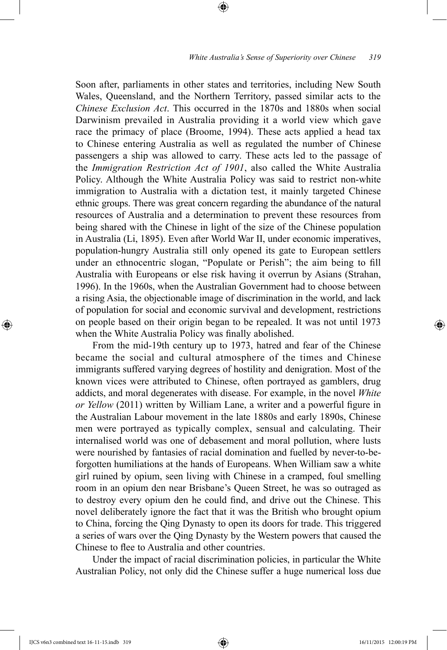Soon after, parliaments in other states and territories, including New South Wales, Queensland, and the Northern Territory, passed similar acts to the *Chinese Exclusion Act*. This occurred in the 1870s and 1880s when social Darwinism prevailed in Australia providing it a world view which gave race the primacy of place (Broome, 1994). These acts applied a head tax to Chinese entering Australia as well as regulated the number of Chinese passengers a ship was allowed to carry. These acts led to the passage of the *Immigration Restriction Act of 1901*, also called the White Australia Policy. Although the White Australia Policy was said to restrict non-white immigration to Australia with a dictation test, it mainly targeted Chinese ethnic groups. There was great concern regarding the abundance of the natural resources of Australia and a determination to prevent these resources from being shared with the Chinese in light of the size of the Chinese population in Australia (Li, 1895). Even after World War II, under economic imperatives, population-hungry Australia still only opened its gate to European settlers under an ethnocentric slogan, "Populate or Perish"; the aim being to fill Australia with Europeans or else risk having it overrun by Asians (Strahan, 1996). In the 1960s, when the Australian Government had to choose between a rising Asia, the objectionable image of discrimination in the world, and lack of population for social and economic survival and development, restrictions on people based on their origin began to be repealed. It was not until 1973 when the White Australia Policy was finally abolished.

⊕

From the mid-19th century up to 1973, hatred and fear of the Chinese became the social and cultural atmosphere of the times and Chinese immigrants suffered varying degrees of hostility and denigration. Most of the known vices were attributed to Chinese, often portrayed as gamblers, drug addicts, and moral degenerates with disease. For example, in the novel *White or Yellow* (2011) written by William Lane, a writer and a powerful figure in the Australian Labour movement in the late 1880s and early 1890s, Chinese men were portrayed as typically complex, sensual and calculating. Their internalised world was one of debasement and moral pollution, where lusts were nourished by fantasies of racial domination and fuelled by never-to-beforgotten humiliations at the hands of Europeans. When William saw a white girl ruined by opium, seen living with Chinese in a cramped, foul smelling room in an opium den near Brisbane's Queen Street, he was so outraged as to destroy every opium den he could find, and drive out the Chinese. This novel deliberately ignore the fact that it was the British who brought opium to China, forcing the Qing Dynasty to open its doors for trade. This triggered a series of wars over the Qing Dynasty by the Western powers that caused the Chinese to flee to Australia and other countries.

Under the impact of racial discrimination policies, in particular the White Australian Policy, not only did the Chinese suffer a huge numerical loss due

IJCS v6n3 combined text 16-11-15.indb 319 16/11/2015 12:00:19 PM

⊕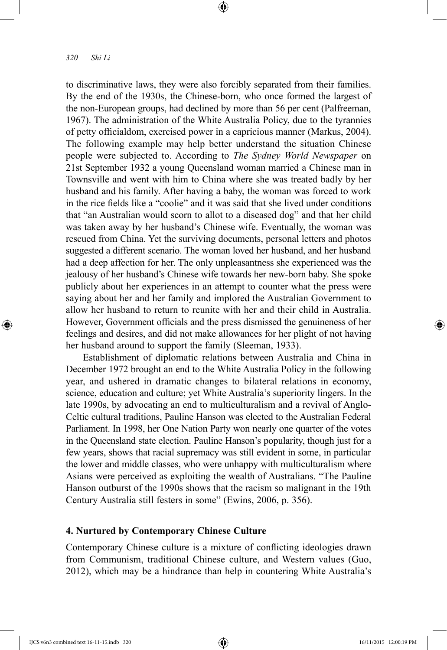⊕

to discriminative laws, they were also forcibly separated from their families. By the end of the 1930s, the Chinese-born, who once formed the largest of the non-European groups, had declined by more than 56 per cent (Palfreeman, 1967). The administration of the White Australia Policy, due to the tyrannies of petty officialdom, exercised power in a capricious manner (Markus, 2004). The following example may help better understand the situation Chinese people were subjected to. According to *The Sydney World Newspaper* on 21st September 1932 a young Queensland woman married a Chinese man in Townsville and went with him to China where she was treated badly by her husband and his family. After having a baby, the woman was forced to work in the rice fields like a "coolie" and it was said that she lived under conditions that "an Australian would scorn to allot to a diseased dog" and that her child was taken away by her husband's Chinese wife. Eventually, the woman was rescued from China. Yet the surviving documents, personal letters and photos suggested a different scenario. The woman loved her husband, and her husband had a deep affection for her. The only unpleasantness she experienced was the jealousy of her husband's Chinese wife towards her new-born baby. She spoke publicly about her experiences in an attempt to counter what the press were saying about her and her family and implored the Australian Government to allow her husband to return to reunite with her and their child in Australia. However, Government officials and the press dismissed the genuineness of her feelings and desires, and did not make allowances for her plight of not having her husband around to support the family (Sleeman, 1933).

⊕

Establishment of diplomatic relations between Australia and China in December 1972 brought an end to the White Australia Policy in the following year, and ushered in dramatic changes to bilateral relations in economy, science, education and culture; yet White Australia's superiority lingers. In the late 1990s, by advocating an end to multiculturalism and a revival of Anglo-Celtic cultural traditions, Pauline Hanson was elected to the Australian Federal Parliament. In 1998, her One Nation Party won nearly one quarter of the votes in the Queensland state election. Pauline Hanson's popularity, though just for a few years, shows that racial supremacy was still evident in some, in particular the lower and middle classes, who were unhappy with multiculturalism where Asians were perceived as exploiting the wealth of Australians. "The Pauline Hanson outburst of the 1990s shows that the racism so malignant in the 19th Century Australia still festers in some" (Ewins, 2006, p. 356).

# **4. Nurtured by Contemporary Chinese Culture**

Contemporary Chinese culture is a mixture of conflicting ideologies drawn from Communism, traditional Chinese culture, and Western values (Guo, 2012), which may be a hindrance than help in countering White Australia's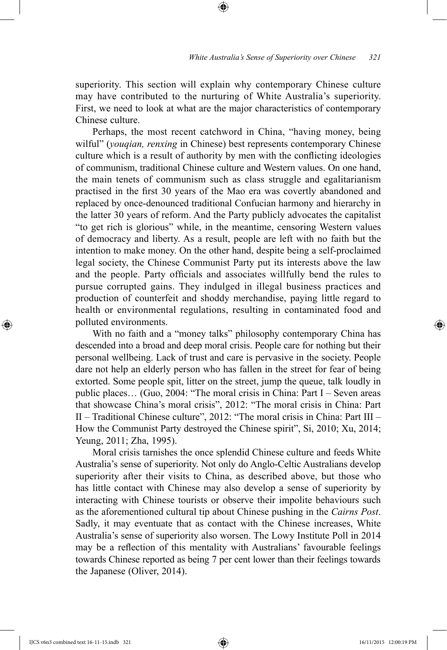superiority. This section will explain why contemporary Chinese culture may have contributed to the nurturing of White Australia's superiority. First, we need to look at what are the major characteristics of contemporary Chinese culture.

⊕

Perhaps, the most recent catchword in China, "having money, being wilful" (*youqian, renxing* in Chinese) best represents contemporary Chinese culture which is a result of authority by men with the conflicting ideologies of communism, traditional Chinese culture and Western values. On one hand, the main tenets of communism such as class struggle and egalitarianism practised in the first 30 years of the Mao era was covertly abandoned and replaced by once-denounced traditional Confucian harmony and hierarchy in the latter 30 years of reform. And the Party publicly advocates the capitalist "to get rich is glorious" while, in the meantime, censoring Western values of democracy and liberty. As a result, people are left with no faith but the intention to make money. On the other hand, despite being a self-proclaimed legal society, the Chinese Communist Party put its interests above the law and the people. Party officials and associates willfully bend the rules to pursue corrupted gains. They indulged in illegal business practices and production of counterfeit and shoddy merchandise, paying little regard to health or environmental regulations, resulting in contaminated food and polluted environments.

With no faith and a "money talks" philosophy contemporary China has descended into a broad and deep moral crisis. People care for nothing but their personal wellbeing. Lack of trust and care is pervasive in the society. People dare not help an elderly person who has fallen in the street for fear of being extorted. Some people spit, litter on the street, jump the queue, talk loudly in public places… (Guo, 2004: "The moral crisis in China: Part I – Seven areas that showcase China's moral crisis", 2012: "The moral crisis in China: Part II – Traditional Chinese culture", 2012: "The moral crisis in China: Part III – How the Communist Party destroyed the Chinese spirit", Si, 2010; Xu, 2014; Yeung, 2011; Zha, 1995).

Moral crisis tarnishes the once splendid Chinese culture and feeds White Australia's sense of superiority. Not only do Anglo-Celtic Australians develop superiority after their visits to China, as described above, but those who has little contact with Chinese may also develop a sense of superiority by interacting with Chinese tourists or observe their impolite behaviours such as the aforementioned cultural tip about Chinese pushing in the *Cairns Post*. Sadly, it may eventuate that as contact with the Chinese increases, White Australia's sense of superiority also worsen. The Lowy Institute Poll in 2014 may be a reflection of this mentality with Australians' favourable feelings towards Chinese reported as being 7 per cent lower than their feelings towards the Japanese (Oliver, 2014).

IJCS v6n3 combined text 16-11-15.indb 321 16/11/2015 12:00:19 PM

⊕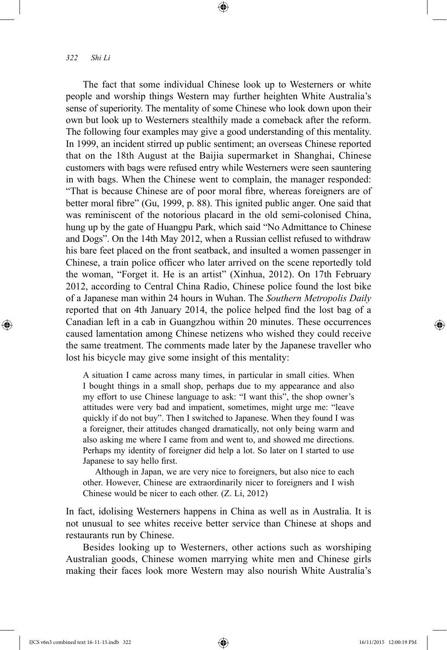⊕

The fact that some individual Chinese look up to Westerners or white people and worship things Western may further heighten White Australia's sense of superiority. The mentality of some Chinese who look down upon their own but look up to Westerners stealthily made a comeback after the reform. The following four examples may give a good understanding of this mentality. In 1999, an incident stirred up public sentiment; an overseas Chinese reported that on the 18th August at the Baijia supermarket in Shanghai, Chinese customers with bags were refused entry while Westerners were seen sauntering in with bags. When the Chinese went to complain, the manager responded: "That is because Chinese are of poor moral fibre, whereas foreigners are of better moral fibre" (Gu, 1999, p. 88). This ignited public anger. One said that was reminiscent of the notorious placard in the old semi-colonised China, hung up by the gate of Huangpu Park, which said "No Admittance to Chinese and Dogs". On the 14th May 2012, when a Russian cellist refused to withdraw his bare feet placed on the front seatback, and insulted a women passenger in Chinese, a train police officer who later arrived on the scene reportedly told the woman, "Forget it. He is an artist" (Xinhua, 2012). On 17th February 2012, according to Central China Radio, Chinese police found the lost bike of a Japanese man within 24 hours in Wuhan. The *Southern Metropolis Daily* reported that on 4th January 2014, the police helped find the lost bag of a Canadian left in a cab in Guangzhou within 20 minutes. These occurrences caused lamentation among Chinese netizens who wished they could receive the same treatment. The comments made later by the Japanese traveller who lost his bicycle may give some insight of this mentality:

⊕

A situation I came across many times, in particular in small cities. When I bought things in a small shop, perhaps due to my appearance and also my effort to use Chinese language to ask: "I want this", the shop owner's attitudes were very bad and impatient, sometimes, might urge me: "leave quickly if do not buy". Then I switched to Japanese. When they found I was a foreigner, their attitudes changed dramatically, not only being warm and also asking me where I came from and went to, and showed me directions. Perhaps my identity of foreigner did help a lot. So later on I started to use Japanese to say hello first.

Although in Japan, we are very nice to foreigners, but also nice to each other. However, Chinese are extraordinarily nicer to foreigners and I wish Chinese would be nicer to each other. (Z. Li, 2012)

In fact, idolising Westerners happens in China as well as in Australia. It is not unusual to see whites receive better service than Chinese at shops and restaurants run by Chinese.

Besides looking up to Westerners, other actions such as worshiping Australian goods, Chinese women marrying white men and Chinese girls making their faces look more Western may also nourish White Australia's

IJCS v6n3 combined text 16-11-15.indb 322 16/11/2015 12:00:19 PM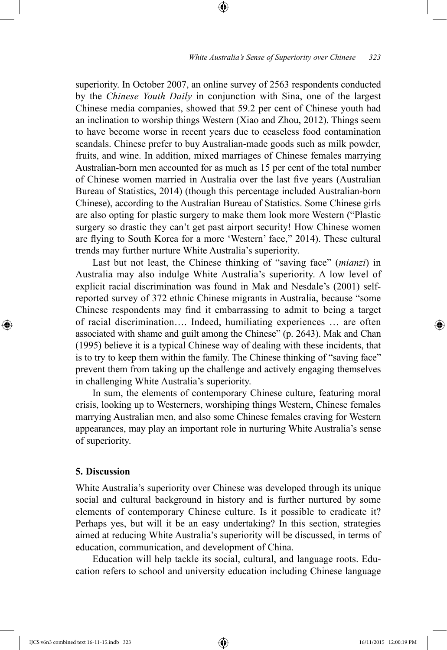superiority. In October 2007, an online survey of 2563 respondents conducted by the *Chinese Youth Daily* in conjunction with Sina, one of the largest Chinese media companies, showed that 59.2 per cent of Chinese youth had an inclination to worship things Western (Xiao and Zhou, 2012). Things seem to have become worse in recent years due to ceaseless food contamination scandals. Chinese prefer to buy Australian-made goods such as milk powder, fruits, and wine. In addition, mixed marriages of Chinese females marrying Australian-born men accounted for as much as 15 per cent of the total number of Chinese women married in Australia over the last five years (Australian Bureau of Statistics, 2014) (though this percentage included Australian-born Chinese), according to the Australian Bureau of Statistics. Some Chinese girls are also opting for plastic surgery to make them look more Western ("Plastic surgery so drastic they can't get past airport security! How Chinese women are flying to South Korea for a more 'Western' face," 2014). These cultural trends may further nurture White Australia's superiority.

⊕

Last but not least, the Chinese thinking of "saving face" (*mianzi*) in Australia may also indulge White Australia's superiority. A low level of explicit racial discrimination was found in Mak and Nesdale's (2001) selfreported survey of 372 ethnic Chinese migrants in Australia, because "some Chinese respondents may find it embarrassing to admit to being a target of racial discrimination…. Indeed, humiliating experiences … are often associated with shame and guilt among the Chinese" (p. 2643). Mak and Chan (1995) believe it is a typical Chinese way of dealing with these incidents, that is to try to keep them within the family. The Chinese thinking of "saving face" prevent them from taking up the challenge and actively engaging themselves in challenging White Australia's superiority.

In sum, the elements of contemporary Chinese culture, featuring moral crisis, looking up to Westerners, worshiping things Western, Chinese females marrying Australian men, and also some Chinese females craving for Western appearances, may play an important role in nurturing White Australia's sense of superiority.

# **5. Discussion**

⊕

White Australia's superiority over Chinese was developed through its unique social and cultural background in history and is further nurtured by some elements of contemporary Chinese culture. Is it possible to eradicate it? Perhaps yes, but will it be an easy undertaking? In this section, strategies aimed at reducing White Australia's superiority will be discussed, in terms of education, communication, and development of China.

Education will help tackle its social, cultural, and language roots. Education refers to school and university education including Chinese language

IJCS v6n3 combined text 16-11-15.indb 323 16/11/2015 12:00:19 PM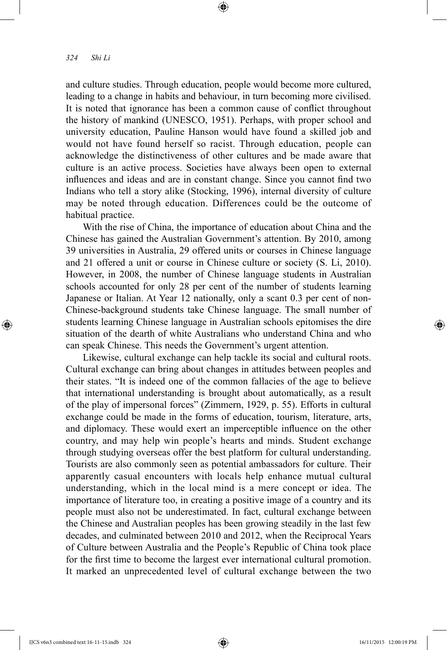⊕

and culture studies. Through education, people would become more cultured, leading to a change in habits and behaviour, in turn becoming more civilised. It is noted that ignorance has been a common cause of conflict throughout the history of mankind (UNESCO, 1951). Perhaps, with proper school and university education, Pauline Hanson would have found a skilled job and would not have found herself so racist. Through education, people can acknowledge the distinctiveness of other cultures and be made aware that culture is an active process. Societies have always been open to external influences and ideas and are in constant change. Since you cannot find two Indians who tell a story alike (Stocking, 1996), internal diversity of culture may be noted through education. Differences could be the outcome of habitual practice.

⊕

With the rise of China, the importance of education about China and the Chinese has gained the Australian Government's attention. By 2010, among 39 universities in Australia, 29 offered units or courses in Chinese language and 21 offered a unit or course in Chinese culture or society (S. Li, 2010). However, in 2008, the number of Chinese language students in Australian schools accounted for only 28 per cent of the number of students learning Japanese or Italian. At Year 12 nationally, only a scant 0.3 per cent of non-Chinese-background students take Chinese language. The small number of students learning Chinese language in Australian schools epitomises the dire situation of the dearth of white Australians who understand China and who can speak Chinese. This needs the Government's urgent attention.

Likewise, cultural exchange can help tackle its social and cultural roots. Cultural exchange can bring about changes in attitudes between peoples and their states. "It is indeed one of the common fallacies of the age to believe that international understanding is brought about automatically, as a result of the play of impersonal forces" (Zimmern, 1929, p. 55). Efforts in cultural exchange could be made in the forms of education, tourism, literature, arts, and diplomacy. These would exert an imperceptible influence on the other country, and may help win people's hearts and minds. Student exchange through studying overseas offer the best platform for cultural understanding. Tourists are also commonly seen as potential ambassadors for culture. Their apparently casual encounters with locals help enhance mutual cultural understanding, which in the local mind is a mere concept or idea. The importance of literature too, in creating a positive image of a country and its people must also not be underestimated. In fact, cultural exchange between the Chinese and Australian peoples has been growing steadily in the last few decades, and culminated between 2010 and 2012, when the Reciprocal Years of Culture between Australia and the People's Republic of China took place for the first time to become the largest ever international cultural promotion. It marked an unprecedented level of cultural exchange between the two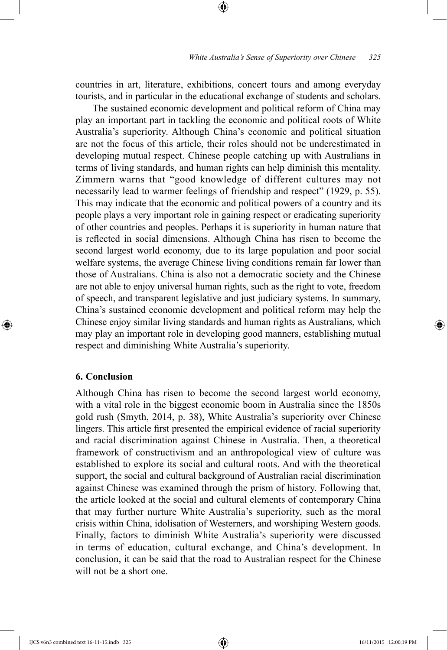countries in art, literature, exhibitions, concert tours and among everyday tourists, and in particular in the educational exchange of students and scholars.

⊕

The sustained economic development and political reform of China may play an important part in tackling the economic and political roots of White Australia's superiority. Although China's economic and political situation are not the focus of this article, their roles should not be underestimated in developing mutual respect. Chinese people catching up with Australians in terms of living standards, and human rights can help diminish this mentality. Zimmern warns that "good knowledge of different cultures may not necessarily lead to warmer feelings of friendship and respect" (1929, p. 55). This may indicate that the economic and political powers of a country and its people plays a very important role in gaining respect or eradicating superiority of other countries and peoples. Perhaps it is superiority in human nature that is reflected in social dimensions. Although China has risen to become the second largest world economy, due to its large population and poor social welfare systems, the average Chinese living conditions remain far lower than those of Australians. China is also not a democratic society and the Chinese are not able to enjoy universal human rights, such as the right to vote, freedom of speech, and transparent legislative and just judiciary systems. In summary, China's sustained economic development and political reform may help the Chinese enjoy similar living standards and human rights as Australians, which may play an important role in developing good manners, establishing mutual respect and diminishing White Australia's superiority.

# **6. Conclusion**

⊕

Although China has risen to become the second largest world economy, with a vital role in the biggest economic boom in Australia since the 1850s gold rush (Smyth, 2014, p. 38), White Australia's superiority over Chinese lingers. This article first presented the empirical evidence of racial superiority and racial discrimination against Chinese in Australia. Then, a theoretical framework of constructivism and an anthropological view of culture was established to explore its social and cultural roots. And with the theoretical support, the social and cultural background of Australian racial discrimination against Chinese was examined through the prism of history. Following that, the article looked at the social and cultural elements of contemporary China that may further nurture White Australia's superiority, such as the moral crisis within China, idolisation of Westerners, and worshiping Western goods. Finally, factors to diminish White Australia's superiority were discussed in terms of education, cultural exchange, and China's development. In conclusion, it can be said that the road to Australian respect for the Chinese will not be a short one.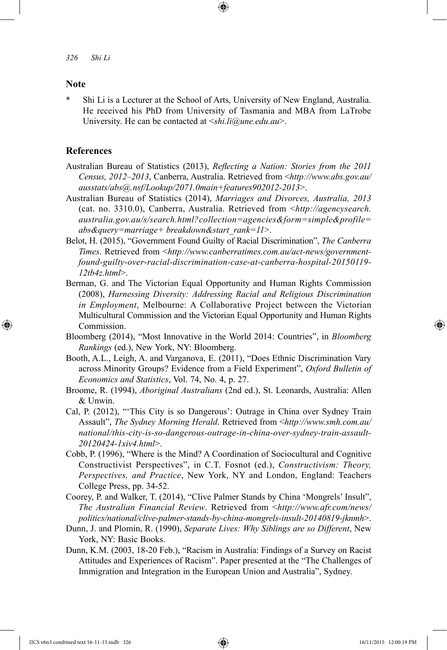## **Note**

⊕

\* Shi Li is a Lecturer at the School of Arts, University of New England, Australia. He received his PhD from University of Tasmania and MBA from LaTrobe University. He can be contacted at <*shi.li@une.edu.au*>.

## **References**

- Australian Bureau of Statistics (2013), *Reflecting a Nation: Stories from the 2011 Census, 2012–2013*, Canberra, Australia. Retrieved from <*http://www.abs.gov.au/ ausstats/abs@.nsf/Lookup/2071.0main+features902012-2013*>.
- Australian Bureau of Statistics (2014), *Marriages and Divorces, Australia, 2013* (cat. no. 3310.0), Canberra, Australia. Retrieved from <*http://agencysearch. australia.gov.au/s/search.html?collection=agencies&form=simple&profile= abs&query=marriage+ breakdown&start\_rank=11*>.
- Belot, H. (2015), "Government Found Guilty of Racial Discrimination", *The Canberra Times*. Retrieved from <*http://www.canberratimes.com.au/act-news/governmentfound-guilty-over-racial-discrimination-case-at-canberra-hospital-20150119- 12tb4z.html*>.
- Berman, G. and The Victorian Equal Opportunity and Human Rights Commission (2008), *Harnessing Diversity: Addressing Racial and Religious Discrimination in Employment*, Melbourne: A Collaborative Project between the Victorian Multicultural Commission and the Victorian Equal Opportunity and Human Rights Commission.
- Bloomberg (2014), "Most Innovative in the World 2014: Countries", in *Bloomberg Rankings* (ed.), New York, NY: Bloomberg.
- Booth, A.L., Leigh, A. and Varganova, E. (2011), "Does Ethnic Discrimination Vary across Minority Groups? Evidence from a Field Experiment", *Oxford Bulletin of Economics and Statistics*, Vol. 74, No. 4, p. 27.
- Broome, R. (1994), *Aboriginal Australians* (2nd ed.), St. Leonards, Australia: Allen & Unwin.
- Cal, P. (2012), "'This City is so Dangerous': Outrage in China over Sydney Train Assault", *The Sydney Morning Herald*. Retrieved from <*http://www.smh.com.au/ national/this-city-is-so-dangerous-outrage-in-china-over-sydney-train-assault-20120424-1xiv4.html*>.
- Cobb, P. (1996), "Where is the Mind? A Coordination of Sociocultural and Cognitive Constructivist Perspectives", in C.T. Fosnot (ed.), *Constructivism: Theory, Perspectives, and Practice*, New York, NY and London, England: Teachers College Press, pp. 34-52.
- Coorey, P. and Walker, T. (2014), "Clive Palmer Stands by China 'Mongrels' Insult", *The Australian Financial Review*. Retrieved from <*http://www.afr.com/news/ politics/national/clive-palmer-stands-by-china-mongrels-insult-20140819-jknmh*>.
- Dunn, J. and Plomin, R. (1990), *Separate Lives: Why Siblings are so Different*, New York, NY: Basic Books.
- Dunn, K.M. (2003, 18-20 Feb.), "Racism in Australia: Findings of a Survey on Racist Attitudes and Experiences of Racism". Paper presented at the "The Challenges of Immigration and Integration in the European Union and Australia", Sydney.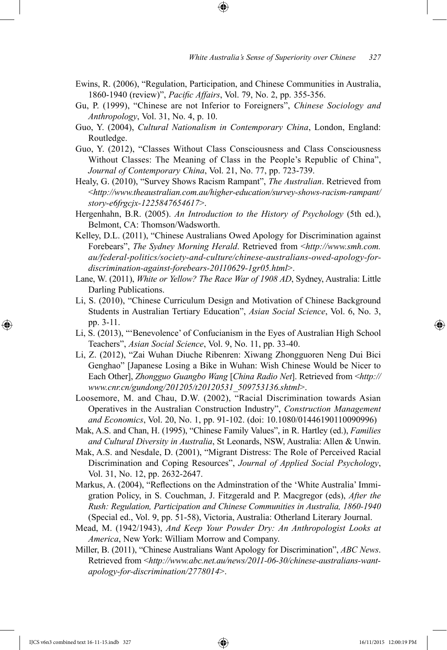Ewins, R. (2006), "Regulation, Participation, and Chinese Communities in Australia, 1860-1940 (review)", *Pacific Affairs*, Vol. 79, No. 2, pp. 355-356.

⊕

- Gu, P. (1999), "Chinese are not Inferior to Foreigners", *Chinese Sociology and Anthropology*, Vol. 31, No. 4, p. 10.
- Guo, Y. (2004), *Cultural Nationalism in Contemporary China*, London, England: Routledge.
- Guo, Y. (2012), "Classes Without Class Consciousness and Class Consciousness Without Classes: The Meaning of Class in the People's Republic of China", *Journal of Contemporary China*, Vol. 21, No. 77, pp. 723-739.
- Healy, G. (2010), "Survey Shows Racism Rampant", *The Australian*. Retrieved from <*http://www.theaustralian.com.au/higher-education/survey-shows-racism-rampant/ story-e6frgcjx-1225847654617*>.
- Hergenhahn, B.R. (2005). *An Introduction to the History of Psychology* (5th ed.), Belmont, CA: Thomson/Wadsworth.
- Kelley, D.L. (2011), "Chinese Australians Owed Apology for Discrimination against Forebears", *The Sydney Morning Herald*. Retrieved from <*http://www.smh.com. au/federal-politics/society-and-culture/chinese-australians-owed-apology-fordiscrimination-against-forebears-20110629-1gr05.html*>.
- Lane, W. (2011), *White or Yellow? The Race War of 1908 AD*, Sydney, Australia: Little Darling Publications.
- Li, S. (2010), "Chinese Curriculum Design and Motivation of Chinese Background Students in Australian Tertiary Education", *Asian Social Science*, Vol. 6, No. 3, pp. 3-11.
- Li, S. (2013), "'Benevolence' of Confucianism in the Eyes of Australian High School Teachers", *Asian Social Science*, Vol. 9, No. 11, pp. 33-40.
- Li, Z. (2012), "Zai Wuhan Diuche Ribenren: Xiwang Zhongguoren Neng Dui Bici Genghao" [Japanese Losing a Bike in Wuhan: Wish Chinese Would be Nicer to Each Other], *Zhongguo Guangbo Wang* [*China Radio Net*]. Retrieved from <*http:// www.cnr.cn/gundong/201205/t20120531\_509753136.shtml*>.
- Loosemore, M. and Chau, D.W. (2002), "Racial Discrimination towards Asian Operatives in the Australian Construction Industry", *Construction Management and Economics*, Vol. 20, No. 1, pp. 91-102. (doi: 10.1080/01446190110090996)
- Mak, A.S. and Chan, H. (1995), "Chinese Family Values", in R. Hartley (ed.), *Families and Cultural Diversity in Australia*, St Leonards, NSW, Australia: Allen & Unwin.
- Mak, A.S. and Nesdale, D. (2001), "Migrant Distress: The Role of Perceived Racial Discrimination and Coping Resources", *Journal of Applied Social Psychology*, Vol. 31, No. 12, pp. 2632-2647.
- Markus, A. (2004), "Reflections on the Adminstration of the 'White Australia' Immigration Policy, in S. Couchman, J. Fitzgerald and P. Macgregor (eds), *After the Rush: Regulation, Participation and Chinese Communities in Australia, 1860-1940* (Special ed., Vol. 9, pp. 51-58), Victoria, Australia: Otherland Literary Journal.
- Mead, M. (1942/1943), *And Keep Your Powder Dry: An Anthropologist Looks at America*, New York: William Morrow and Company.
- Miller, B. (2011), "Chinese Australians Want Apology for Discrimination", *ABC News*. Retrieved from <*http://www.abc.net.au/news/2011-06-30/chinese-australians-wantapology-for-discrimination/2778014*>.

⊕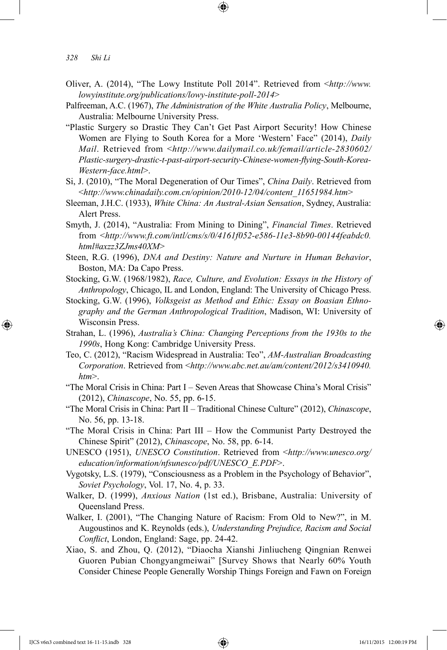⊕

- Oliver, A. (2014), "The Lowy Institute Poll 2014". Retrieved from <*http://www. lowyinstitute.org/publications/lowy-institute-poll-2014*>
- Palfreeman, A.C. (1967), *The Administration of the White Australia Policy*, Melbourne, Australia: Melbourne University Press.
- "Plastic Surgery so Drastic They Can't Get Past Airport Security! How Chinese Women are Flying to South Korea for a More 'Western' Face" (2014), *Daily Mail*. Retrieved from <*http://www.dailymail.co.uk/femail/article-2830602/ Plastic-surgery-drastic-t-past-airport-security-Chinese-women-flying-South-Korea-Western-face.html*>.
- Si, J. (2010), "The Moral Degeneration of Our Times", *China Daily*. Retrieved from <*http://www.chinadaily.com.cn/opinion/2010-12/04/content\_11651984.htm*>
- Sleeman, J.H.C. (1933), *White China: An Austral-Asian Sensation*, Sydney, Australia: Alert Press.
- Smyth, J. (2014), "Australia: From Mining to Dining", *Financial Times*. Retrieved from <*http://www.ft.com/intl/cms/s/0/4161f052-e586-11e3-8b90-00144feabdc0. html#axzz3ZJms40XM*>
- Steen, R.G. (1996), *DNA and Destiny: Nature and Nurture in Human Behavior*, Boston, MA: Da Capo Press.
- Stocking, G.W. (1968/1982), *Race, Culture, and Evolution: Essays in the History of Anthropology*, Chicago, IL and London, England: The University of Chicago Press.
- Stocking, G.W. (1996), *Volksgeist as Method and Ethic: Essay on Boasian Ethnography and the German Anthropological Tradition*, Madison, WI: University of Wisconsin Press.
- Strahan, L. (1996), *Australia's China: Changing Perceptions from the 1930s to the 1990s*, Hong Kong: Cambridge University Press.
- Teo, C. (2012), "Racism Widespread in Australia: Teo", *AM-Australian Broadcasting Corporation*. Retrieved from <*http://www.abc.net.au/am/content/2012/s3410940. htm*>.
- "The Moral Crisis in China: Part I Seven Areas that Showcase China's Moral Crisis" (2012), *Chinascope*, No. 55, pp. 6-15.
- "The Moral Crisis in China: Part II Traditional Chinese Culture" (2012), *Chinascope*, No. 56, pp. 13-18.
- "The Moral Crisis in China: Part III How the Communist Party Destroyed the Chinese Spirit" (2012), *Chinascope*, No. 58, pp. 6-14.
- UNESCO (1951), *UNESCO Constitution*. Retrieved from <*http://www.unesco.org/ education/information/nfsunesco/pdf/UNESCO\_E.PDF*>.
- Vygotsky, L.S. (1979), "Consciousness as a Problem in the Psychology of Behavior", *Soviet Psychology*, Vol. 17, No. 4, p. 33.
- Walker, D. (1999), *Anxious Nation* (1st ed.), Brisbane, Australia: University of Queensland Press.
- Walker, I. (2001), "The Changing Nature of Racism: From Old to New?", in M. Augoustinos and K. Reynolds (eds.), *Understanding Prejudice, Racism and Social Conflict*, London, England: Sage, pp. 24-42.
- Xiao, S. and Zhou, Q. (2012), "Diaocha Xianshi Jinliucheng Qingnian Renwei Guoren Pubian Chongyangmeiwai" [Survey Shows that Nearly 60% Youth Consider Chinese People Generally Worship Things Foreign and Fawn on Foreign

*<sup>328</sup> Shi Li*